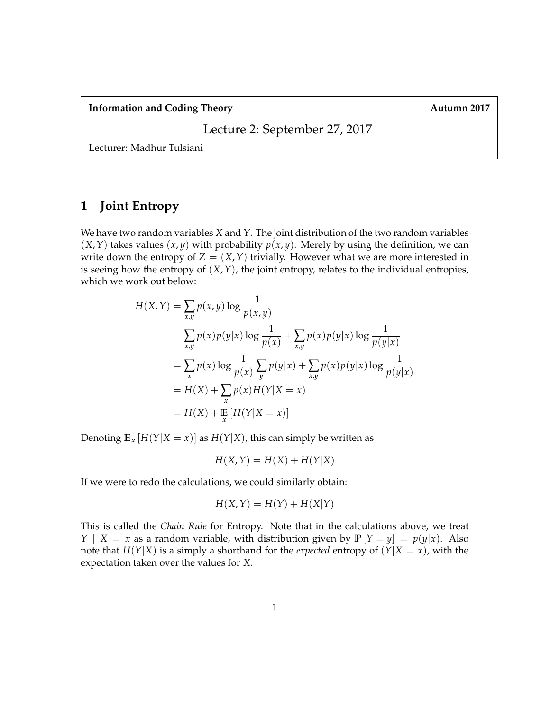**Information and Coding Theory Autumn 2017** 

Lecture 2: September 27, 2017

Lecturer: Madhur Tulsiani

# **1 Joint Entropy**

We have two random variables *X* and *Y*. The joint distribution of the two random variables  $(X, Y)$  takes values  $(x, y)$  with probability  $p(x, y)$ . Merely by using the definition, we can write down the entropy of  $Z = (X, Y)$  trivially. However what we are more interested in is seeing how the entropy of  $(X, Y)$ , the joint entropy, relates to the individual entropies, which we work out below:

$$
H(X,Y) = \sum_{x,y} p(x,y) \log \frac{1}{p(x,y)}
$$
  
=  $\sum_{x,y} p(x)p(y|x) \log \frac{1}{p(x)} + \sum_{x,y} p(x)p(y|x) \log \frac{1}{p(y|x)}$   
=  $\sum_{x} p(x) \log \frac{1}{p(x)} \sum_{y} p(y|x) + \sum_{x,y} p(x)p(y|x) \log \frac{1}{p(y|x)}$   
=  $H(X) + \sum_{x} p(x)H(Y|X = x)$   
=  $H(X) + \mathbb{E}[H(Y|X = x)]$ 

Denoting  $\mathbb{E}_x [H(Y|X=x)]$  as  $H(Y|X)$ , this can simply be written as

$$
H(X,Y) = H(X) + H(Y|X)
$$

If we were to redo the calculations, we could similarly obtain:

$$
H(X,Y) = H(Y) + H(X|Y)
$$

This is called the *Chain Rule* for Entropy. Note that in the calculations above, we treat *Y* | *X* = *x* as a random variable, with distribution given by  $P[Y = y] = p(y|x)$ . Also note that *H*(*Y*|*X*) is a simply a shorthand for the *expected* entropy of  $(Y|X = x)$ , with the expectation taken over the values for *X*.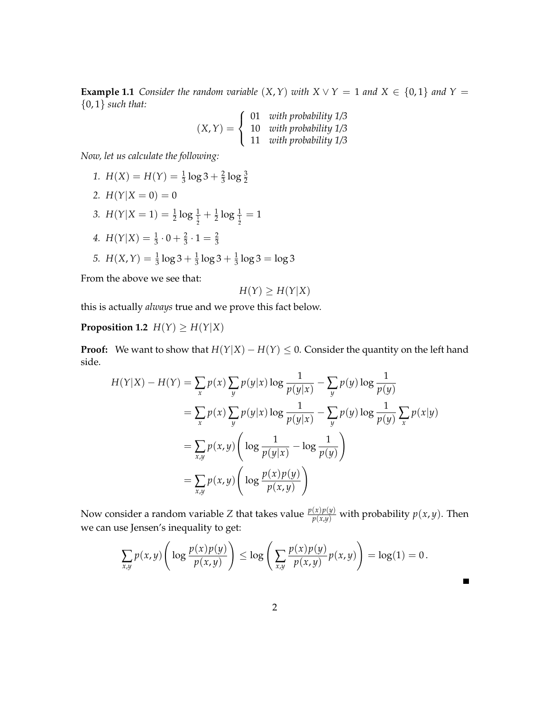**Example 1.1** *Consider the random variable*  $(X, Y)$  *with*  $X \vee Y = 1$  *and*  $X \in \{0, 1\}$  *and*  $Y =$ {0, 1} *such that:*

$$
(X,Y) = \begin{cases} 01 & with probability 1/3\\ 10 & with probability 1/3\\ 11 & with probability 1/3 \end{cases}
$$

*Now, let us calculate the following:*

1. 
$$
H(X) = H(Y) = \frac{1}{3} \log 3 + \frac{2}{3} \log \frac{3}{2}
$$
  
\n2.  $H(Y|X = 0) = 0$   
\n3.  $H(Y|X = 1) = \frac{1}{2} \log \frac{1}{\frac{1}{2}} + \frac{1}{2} \log \frac{1}{\frac{1}{2}} = 1$   
\n4.  $H(Y|X) = \frac{1}{3} \cdot 0 + \frac{2}{3} \cdot 1 = \frac{2}{3}$   
\n5.  $H(X,Y) = \frac{1}{3} \log 3 + \frac{1}{3} \log 3 + \frac{1}{3} \log 3 = \log 3$ 

From the above we see that:

$$
H(Y) \ge H(Y|X)
$$

this is actually *always* true and we prove this fact below.

**Proposition 1.2** *H*(*Y*)  $\geq$  *H*(*Y*|*X*)

**Proof:** We want to show that  $H(Y|X) - H(Y) \le 0$ . Consider the quantity on the left hand side.

$$
H(Y|X) - H(Y) = \sum_{x} p(x) \sum_{y} p(y|x) \log \frac{1}{p(y|x)} - \sum_{y} p(y) \log \frac{1}{p(y)}
$$
  

$$
= \sum_{x} p(x) \sum_{y} p(y|x) \log \frac{1}{p(y|x)} - \sum_{y} p(y) \log \frac{1}{p(y)} \sum_{x} p(x|y)
$$
  

$$
= \sum_{x,y} p(x,y) \left( \log \frac{1}{p(y|x)} - \log \frac{1}{p(y)} \right)
$$
  

$$
= \sum_{x,y} p(x,y) \left( \log \frac{p(x)p(y)}{p(x,y)} \right)
$$

Now consider a random variable *Z* that takes value  $\frac{p(x)p(y)}{p(x,y)}$  with probability  $p(x,y)$ . Then we can use Jensen's inequality to get:

$$
\sum_{x,y} p(x,y) \left( \log \frac{p(x)p(y)}{p(x,y)} \right) \leq \log \left( \sum_{x,y} \frac{p(x)p(y)}{p(x,y)} p(x,y) \right) = \log(1) = 0.
$$

 $\blacksquare$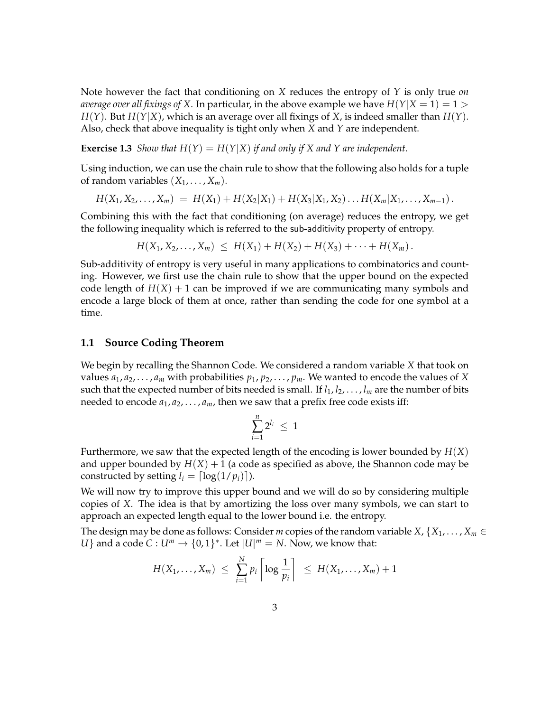Note however the fact that conditioning on *X* reduces the entropy of *Y* is only true *on average over all fixings of X.* In particular, in the above example we have  $H(Y|X = 1) = 1 > 1$ *H*(*Y*). But *H*(*Y*|*X*), which is an average over all fixings of *X*, is indeed smaller than *H*(*Y*). Also, check that above inequality is tight only when *X* and *Y* are independent.

**Exercise 1.3** *Show that*  $H(Y) = H(Y|X)$  *if and only if X and Y are independent.* 

Using induction, we can use the chain rule to show that the following also holds for a tuple of random variables  $(X_1, \ldots, X_m)$ .

$$
H(X_1, X_2, \ldots, X_m) = H(X_1) + H(X_2|X_1) + H(X_3|X_1, X_2) \ldots H(X_m|X_1, \ldots, X_{m-1}).
$$

Combining this with the fact that conditioning (on average) reduces the entropy, we get the following inequality which is referred to the sub-additivity property of entropy.

$$
H(X_1, X_2,..., X_m) \leq H(X_1) + H(X_2) + H(X_3) + \cdots + H(X_m).
$$

Sub-additivity of entropy is very useful in many applications to combinatorics and counting. However, we first use the chain rule to show that the upper bound on the expected code length of  $H(X) + 1$  can be improved if we are communicating many symbols and encode a large block of them at once, rather than sending the code for one symbol at a time.

### **1.1 Source Coding Theorem**

We begin by recalling the Shannon Code. We considered a random variable *X* that took on values  $a_1, a_2, \ldots, a_m$  with probabilities  $p_1, p_2, \ldots, p_m$ . We wanted to encode the values of *X* such that the expected number of bits needed is small. If  $l_1, l_2, \ldots, l_m$  are the number of bits needed to encode  $a_1, a_2, \ldots, a_m$ , then we saw that a prefix free code exists iff:

$$
\sum_{i=1}^n 2^{l_i} \leq 1
$$

Furthermore, we saw that the expected length of the encoding is lower bounded by *H*(*X*) and upper bounded by  $H(X) + 1$  (a code as specified as above, the Shannon code may be constructed by setting  $l_i = \lfloor \log(1/p_i) \rfloor$ .

We will now try to improve this upper bound and we will do so by considering multiple copies of *X*. The idea is that by amortizing the loss over many symbols, we can start to approach an expected length equal to the lower bound i.e. the entropy.

The design may be done as follows: Consider *m* copies of the random variable *X*,  $\{X_1, \ldots, X_m \in$ *U*} and a code *C* :  $U^m \rightarrow \{0,1\}^*$ . Let  $|U|^m = N$ . Now, we know that:

$$
H(X_1,\ldots,X_m) \leq \sum_{i=1}^N p_i \left\lceil \log \frac{1}{p_i} \right\rceil \leq H(X_1,\ldots,X_m)+1
$$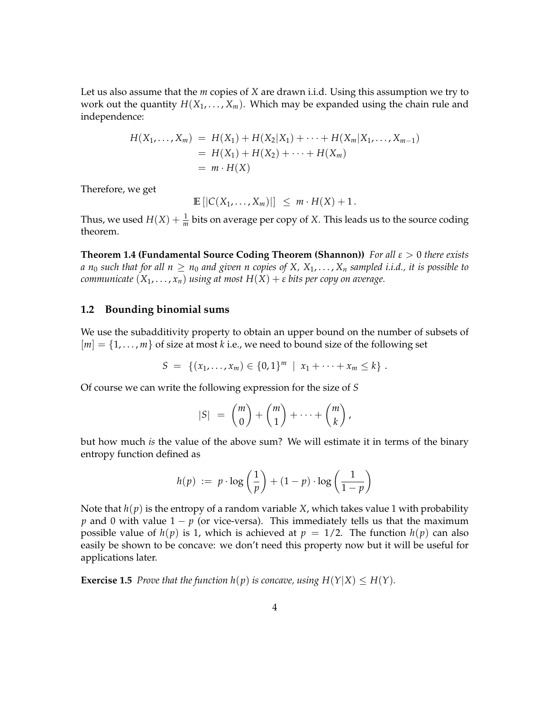Let us also assume that the *m* copies of *X* are drawn i.i.d. Using this assumption we try to work out the quantity  $H(X_1, \ldots, X_m)$ . Which may be expanded using the chain rule and independence:

$$
H(X_1,...,X_m) = H(X_1) + H(X_2|X_1) + \cdots + H(X_m|X_1,...,X_{m-1})
$$
  
=  $H(X_1) + H(X_2) + \cdots + H(X_m)$   
=  $m \cdot H(X)$ 

Therefore, we get

$$
\mathbb{E}\left[|C(X_1,\ldots,X_m)|\right] \leq m \cdot H(X) + 1.
$$

Thus, we used  $H(X) + \frac{1}{m}$  bits on average per copy of *X*. This leads us to the source coding theorem.

**Theorem 1.4 (Fundamental Source Coding Theorem (Shannon))** *For all ε* > 0 *there exists a*  $n_0$  *such that for all*  $n \geq n_0$  *and given n copies of X,*  $X_1, \ldots, X_n$  *<i>sampled i.i.d., it is possible to communicate*  $(X_1, \ldots, X_n)$  *using at most*  $H(X) + \varepsilon$  *bits per copy on average.* 

#### **1.2 Bounding binomial sums**

We use the subadditivity property to obtain an upper bound on the number of subsets of  $[m] = \{1, \ldots, m\}$  of size at most *k* i.e., we need to bound size of the following set

$$
S = \{(x_1, \ldots, x_m) \in \{0,1\}^m \mid x_1 + \cdots + x_m \leq k\}.
$$

Of course we can write the following expression for the size of *S*

$$
|S| = {m \choose 0} + {m \choose 1} + \cdots + {m \choose k},
$$

but how much *is* the value of the above sum? We will estimate it in terms of the binary entropy function defined as

$$
h(p) := p \cdot \log\left(\frac{1}{p}\right) + (1-p) \cdot \log\left(\frac{1}{1-p}\right)
$$

Note that  $h(p)$  is the entropy of a random variable *X*, which takes value 1 with probability *p* and 0 with value  $1 - p$  (or vice-versa). This immediately tells us that the maximum possible value of  $h(p)$  is 1, which is achieved at  $p = 1/2$ . The function  $h(p)$  can also easily be shown to be concave: we don't need this property now but it will be useful for applications later.

**Exercise 1.5** Prove that the function  $h(p)$  is concave, using  $H(Y|X) \leq H(Y)$ .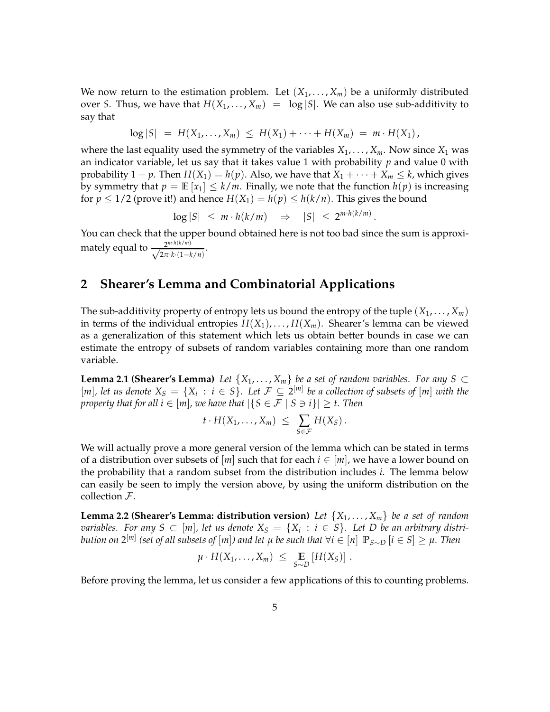We now return to the estimation problem. Let  $(X_1, \ldots, X_m)$  be a uniformly distributed over *S*. Thus, we have that  $H(X_1, \ldots, X_m) = \log |S|$ . We can also use sub-additivity to say that

$$
\log |S| = H(X_1, \ldots, X_m) \leq H(X_1) + \cdots + H(X_m) = m \cdot H(X_1),
$$

where the last equality used the symmetry of the variables  $X_1, \ldots, X_m$ . Now since  $X_1$  was an indicator variable, let us say that it takes value 1 with probability *p* and value 0 with probability 1 – *p*. Then  $H(X_1) = h(p)$ . Also, we have that  $X_1 + \cdots + X_m \leq k$ , which gives by symmetry that  $p = \mathbb{E}[x_1] \leq k/m$ . Finally, we note that the function  $h(p)$  is increasing for  $p \leq 1/2$  (prove it!) and hence  $H(X_1) = h(p) \leq h(k/n)$ . This gives the bound

 $\log |S| \leq m \cdot h(k/m) \Rightarrow |S| \leq 2^{m \cdot h(k/m)}$ .

You can check that the upper bound obtained here is not too bad since the sum is approximately equal to  $\frac{2^{m \cdot h(k/m)}}{\sqrt{2\pi h(1-h)}}$  $\frac{2^{m} \cdot n(k+m)}{2\pi \cdot k \cdot (1-k/n)}$ .

## **2 Shearer's Lemma and Combinatorial Applications**

The sub-additivity property of entropy lets us bound the entropy of the tuple  $(X_1, \ldots, X_m)$ in terms of the individual entropies  $H(X_1), \ldots, H(X_m)$ . Shearer's lemma can be viewed as a generalization of this statement which lets us obtain better bounds in case we can estimate the entropy of subsets of random variables containing more than one random variable.

**Lemma 2.1 (Shearer's Lemma)** *Let*  $\{X_1, \ldots, X_m\}$  *be a set of random variables. For any S* ⊂  $[m]$ , let us denote  $X_S = \{X_i : i \in S\}$ . Let  $\mathcal{F} \subseteq 2^{[m]}$  be a collection of subsets of  $[m]$  with the *property that for all*  $i \in [m]$ *, we have that*  $|\{S \in \mathcal{F} \mid S \ni i\}| \geq t$ . Then

$$
t\cdot H(X_1,\ldots,X_m) \ \leq \ \sum_{S\in\mathcal{F}} H(X_S)\,.
$$

We will actually prove a more general version of the lemma which can be stated in terms of a distribution over subsets of  $[m]$  such that for each  $i \in [m]$ , we have a lower bound on the probability that a random subset from the distribution includes *i*. The lemma below can easily be seen to imply the version above, by using the uniform distribution on the collection  $F$ .

**Lemma 2.2 (Shearer's Lemma: distribution version)** *Let* {*X*1, . . . , *Xm*} *be a set of random*  $\sigma$  *variables.* For any  $S \subset [m]$ , let us denote  $X_S = \{X_i : i \in S\}$ . Let D be an arbitrary distri $b$ ution on  $2^{[m]}$  (set of all subsets of  $[m]$ ) and let  $\mu$  be such that  $\forall i\in [n]$   $\mathbb{P}_{S\sim D}$   $[i\in S]\geq \mu.$  Then

$$
\mu \cdot H(X_1,\ldots,X_m) \leq \mathop{\mathbb{E}}_{S\sim D} \left[H(X_S)\right].
$$

Before proving the lemma, let us consider a few applications of this to counting problems.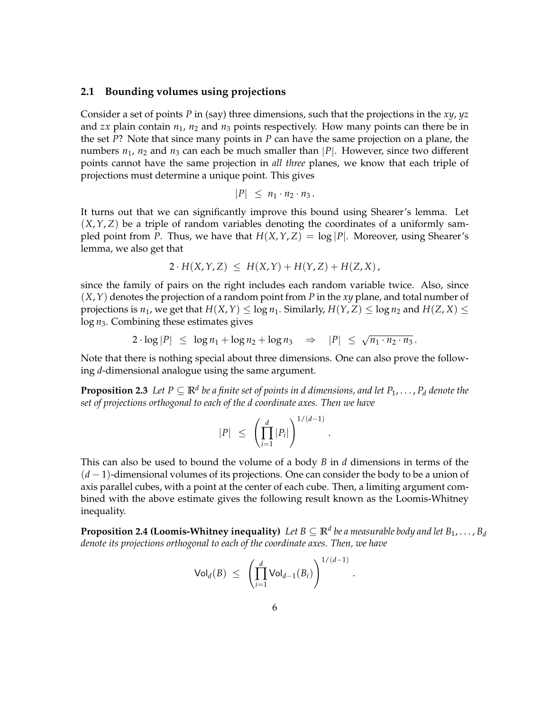### **2.1 Bounding volumes using projections**

Consider a set of points *P* in (say) three dimensions, such that the projections in the *xy*, *yz* and *zx* plain contain  $n_1$ ,  $n_2$  and  $n_3$  points respectively. How many points can there be in the set *P*? Note that since many points in *P* can have the same projection on a plane, the numbers  $n_1$ ,  $n_2$  and  $n_3$  can each be much smaller than  $|P|$ . However, since two different points cannot have the same projection in *all three* planes, we know that each triple of projections must determine a unique point. This gives

$$
|P| \leq n_1 \cdot n_2 \cdot n_3.
$$

It turns out that we can significantly improve this bound using Shearer's lemma. Let  $(X, Y, Z)$  be a triple of random variables denoting the coordinates of a uniformly sampled point from *P*. Thus, we have that  $H(X, Y, Z) = \log |P|$ . Moreover, using Shearer's lemma, we also get that

$$
2\cdot H(X,Y,Z) \leq H(X,Y) + H(Y,Z) + H(Z,X),
$$

since the family of pairs on the right includes each random variable twice. Also, since (*X*,*Y*) denotes the projection of a random point from *P* in the *xy* plane, and total number of projections is  $n_1$ , we get that  $H(X, Y) \leq \log n_1$ . Similarly,  $H(Y, Z) \leq \log n_2$  and  $H(Z, X) \leq$ log *n*3. Combining these estimates gives

 $2 \cdot \log |P| \leq \log n_1 + \log n_2 + \log n_3 \Rightarrow |P| \leq \sqrt{n_1 \cdot n_2 \cdot n_3}$ .

Note that there is nothing special about three dimensions. One can also prove the following *d*-dimensional analogue using the same argument.

**Proposition 2.3** Let  $P \subseteq \mathbb{R}^d$  be a finite set of points in d dimensions, and let  $P_1, \ldots, P_d$  denote the *set of projections orthogonal to each of the d coordinate axes. Then we have*

$$
|P| \leq \left(\prod_{i=1}^d |P_i|\right)^{1/(d-1)}.
$$

This can also be used to bound the volume of a body *B* in *d* dimensions in terms of the (*d* − 1)-dimensional volumes of its projections. One can consider the body to be a union of axis parallel cubes, with a point at the center of each cube. Then, a limiting argument combined with the above estimate gives the following result known as the Loomis-Whitney inequality.

**Proposition 2.4 (Loomis-Whitney inequality)** Let  $B\subseteq \mathbb{R}^d$  be a measurable body and let  $B_1,\ldots,B_d$ *denote its projections orthogonal to each of the coordinate axes. Then, we have*

.

$$
\mathsf{Vol}_d(B) \ \leq \ \left( \prod_{i=1}^d \mathsf{Vol}_{d-1}(B_i) \right)^{1/(d-1)}
$$